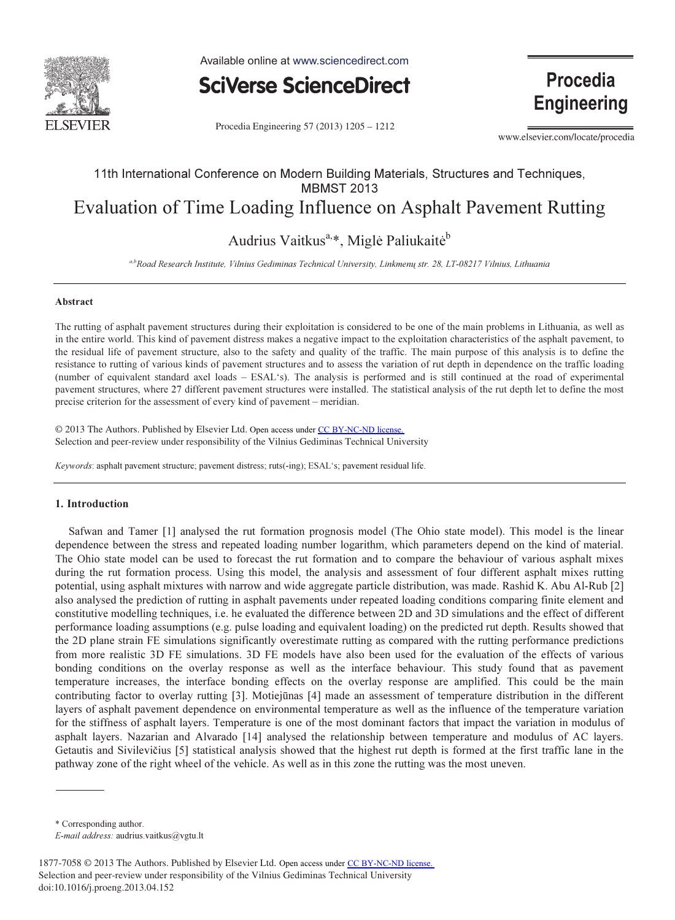

Available online at www.sciencedirect.com



Procedia Engineering 57 (2013) 1205 - 1212

www.elsevier.com/locate/procedia

**Procedia** 

**Engineering** 

# 11th International Conference on Modern Building Materials, Structures and Techniques, MBMST 2013 Evaluation of Time Loading Influence on Asphalt Pavement Rutting

Audrius Vaitkus<sup>a,\*</sup>, Miglė Paliukaitė<sup>b</sup>

a,bRoad Research Institute, Vilnius Gediminas Technical University, Linkmenų str. 28, LT-08217 Vilnius, Lithuania

#### Abstract

The rutting of asphalt pavement structures during their exploitation is considered to be one of the main problems in Lithuania, as well as in the entire world. This kind of pavement distress makes a negative impact to the exploitation characteristics of the asphalt pavement, to the residual life of pavement structure, also to the safety and quality of the traffic. The main purpose of this analysis is to define the resistance to rutting of various kinds of pavement structures and to assess the variation of rut depth in dependence on the traffic loading (number of equivalent standard axel loads – ESAL's). The analysis is performed and is still continued at the road of experimental pavement structures, where 27 different pavement structures were installed. The statistical analysis of the rut depth let to define the most precise criterion for the assessment of every kind of pavement – meridian.

© 2013 The Authors. Published by Elsevier Ltd. © 2013 The Authors. Published by Elsevier Ltd. Open access under [CC BY-NC-ND license.](http://creativecommons.org/licenses/by-nc-nd/3.0/) Selection and peer-review under responsibility of the Vilnius Gediminas Technical University. Selection and peer-review under responsibility of the Vilnius Gediminas Technical University

Keywords: asphalt pavement structure; pavement distress; ruts(-ing); ESAL's; pavement residual life.

## 1. Introduction

Safwan and Tamer [1] analysed the rut formation prognosis model (The Ohio state model). This model is the linear dependence between the stress and repeated loading number logarithm, which parameters depend on the kind of material. The Ohio state model can be used to forecast the rut formation and to compare the behaviour of various asphalt mixes during the rut formation process. Using this model, the analysis and assessment of four different asphalt mixes rutting potential, using asphalt mixtures with narrow and wide aggregate particle distribution, was made. Rashid K. Abu Al-Rub [2] also analysed the prediction of rutting in asphalt pavements under repeated loading conditions comparing finite element and constitutive modelling techniques, i.e. he evaluated the difference between 2D and 3D simulations and the effect of different performance loading assumptions (e.g. pulse loading and equivalent loading) on the predicted rut depth. Results showed that the 2D plane strain FE simulations significantly overestimate rutting as compared with the rutting performance predictions from more realistic 3D FE simulations. 3D FE models have also been used for the evaluation of the effects of various bonding conditions on the overlay response as well as the interface behaviour. This study found that as pavement temperature increases, the interface bonding effects on the overlay response are amplified. This could be the main contributing factor to overlay rutting [3]. Motiejūnas [4] made an assessment of temperature distribution in the different layers of asphalt pavement dependence on environmental temperature as well as the influence of the temperature variation for the stiffness of asphalt layers. Temperature is one of the most dominant factors that impact the variation in modulus of asphalt layers. Nazarian and Alvarado [14] analysed the relationship between temperature and modulus of AC layers. Getautis and Sivilevičius [5] statistical analysis showed that the highest rut depth is formed at the first traffic lane in the pathway zone of the right wheel of the vehicle. As well as in this zone the rutting was the most uneven.

\* Corresponding author. E-mail address: audrius.vaitkus@vgtu.lt

<sup>1877-7058 © 2013</sup> The Authors. Published by Elsevier Ltd. Open access under [CC BY-NC-ND license.](http://creativecommons.org/licenses/by-nc-nd/3.0/)Selection and peer-review under responsibility of the Vilnius Gediminas Technical University doi: 10.1016/j.proeng.2013.04.152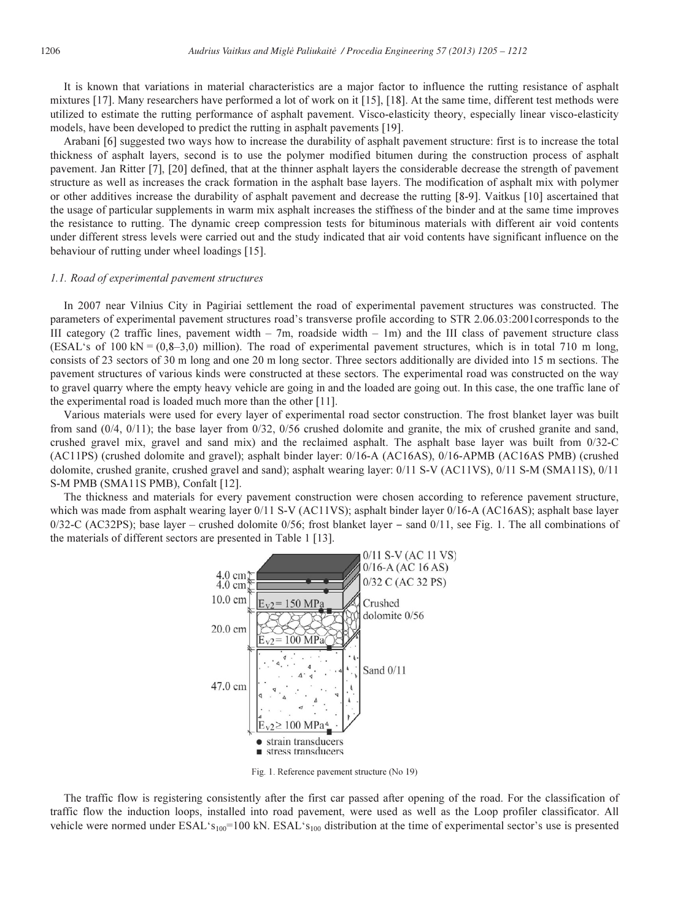It is known that variations in material characteristics are a major factor to influence the rutting resistance of asphalt mixtures [17]. Many researchers have performed a lot of work on it [15], [18]. At the same time, different test methods were utilized to estimate the rutting performance of asphalt pavement. Visco-elasticity theory, especially linear visco-elasticity models, have been developed to predict the rutting in asphalt pavements [19].

Arabani [6] suggested two ways how to increase the durability of asphalt pavement structure: first is to increase the total thickness of asphalt layers, second is to use the polymer modified bitumen during the construction process of asphalt pavement. Jan Ritter [7], [20] defined, that at the thinner asphalt layers the considerable decrease the strength of pavement structure as well as increases the crack formation in the asphalt base layers. The modification of asphalt mix with polymer or other additives increase the durability of asphalt pavement and decrease the rutting [8-9]. Vaitkus [10] ascertained that the usage of particular supplements in warm mix asphalt increases the stiffness of the binder and at the same time improves the resistance to rutting. The dynamic creep compression tests for bituminous materials with different air void contents under different stress levels were carried out and the study indicated that air void contents have significant influence on the behaviour of rutting under wheel loadings [15].

#### 1.1. Road of experimental pavement structures

In 2007 near Vilnius City in Pagiriai settlement the road of experimental pavement structures was constructed. The parameters of experimental pavement structures road's transverse profile according to STR 2.06.03:2001corresponds to the III category (2 traffic lines, pavement width  $-7m$ , roadside width  $-1m$ ) and the III class of pavement structure class (ESAL's of 100 kN =  $(0.8-3.0)$  million). The road of experimental pavement structures, which is in total 710 m long, consists of 23 sectors of 30 m long and one 20 m long sector. Three sectors additionally are divided into 15 m sections. The pavement structures of various kinds were constructed at these sectors. The experimental road was constructed on the way to gravel quarry where the empty heavy vehicle are going in and the loaded are going out. In this case, the one traffic lane of the experimental road is loaded much more than the other [11].

Various materials were used for every layer of experimental road sector construction. The frost blanket layer was built from sand (0/4, 0/11); the base layer from 0/32, 0/56 crushed dolomite and granite, the mix of crushed granite and sand, crushed gravel mix, gravel and sand mix) and the reclaimed asphalt. The asphalt base layer was built from 0/32-C (AC11PS) (crushed dolomite and gravel); asphalt binder layer: 0/16-A (AC16AS), 0/16-APMB (AC16AS PMB) (crushed dolomite, crushed granite, crushed gravel and sand); asphalt wearing layer: 0/11 S-V (AC11VS), 0/11 S-M (SMA11S), 0/11 S-M PMB (SMA11S PMB), Confalt [12].

The thickness and materials for every pavement construction were chosen according to reference pavement structure, which was made from asphalt wearing layer 0/11 S-V (AC11VS); asphalt binder layer 0/16-A (AC16AS); asphalt base layer 0/32-C (AC32PS); base layer - crushed dolomite 0/56; frost blanket layer - sand 0/11, see Fig. 1. The all combinations of the materials of different sectors are presented in Table 1 [13].



Fig. 1. Reference pavement structure (No 19)

The traffic flow is registering consistently after the first car passed after opening of the road. For the classification of traffic flow the induction loops, installed into road pavement, were used as well as the Loop profiler classificator. All vehicle were normed under ESAL's<sub>100</sub>=100 kN. ESAL's<sub>100</sub> distribution at the time of experimental sector's use is presented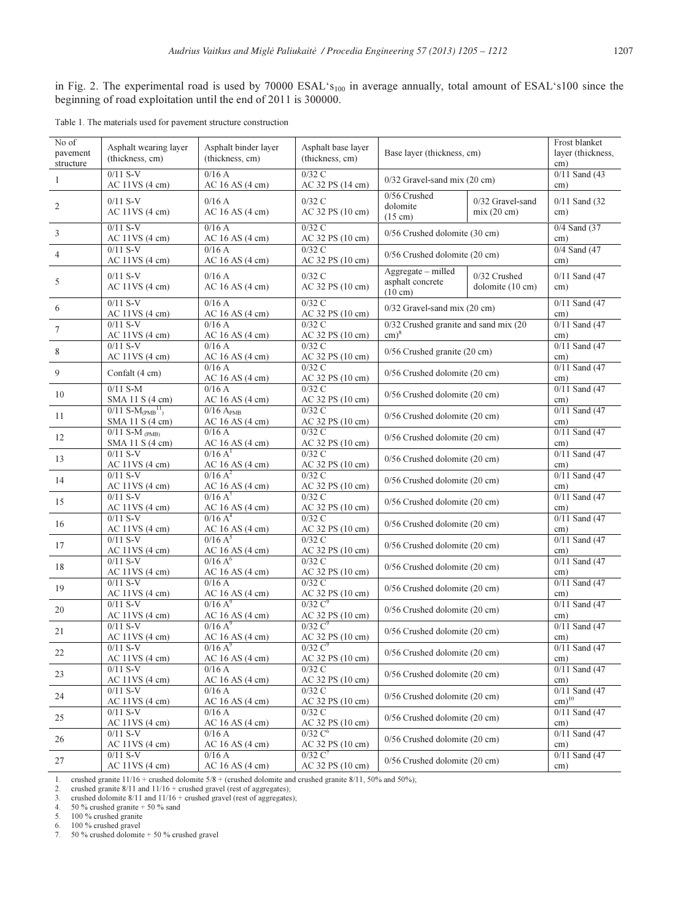in Fig. 2. The experimental road is used by 70000 ESAL's<sub>100</sub> in average annually, total amount of ESAL's100 since the beginning of road exploitation until the end of 2011 is 300000.

Table 1. The materials used for pavement structure construction

| No of<br>pavement<br>structure | Asphalt wearing layer<br>(thickness, cm)       | Asphalt binder layer<br>(thickness, cm)                                               | Asphalt base layer<br>(thickness, cm)   | Base layer (thickness, cm)                                                       |                                  | Frost blanket<br>layer (thickness,<br>cm) |
|--------------------------------|------------------------------------------------|---------------------------------------------------------------------------------------|-----------------------------------------|----------------------------------------------------------------------------------|----------------------------------|-------------------------------------------|
| 1                              | $0/11 S-V$<br>$AC$ 11VS $(4 \text{ cm})$       | 0/16A<br>AC 16 AS (4 cm)                                                              | $0/32$ C<br>AC 32 PS (14 cm)            | 0/32 Gravel-sand mix (20 cm)                                                     |                                  | $0/11$ Sand (43)<br>cm)                   |
| $\mathfrak{2}$                 | $0/11 S-V$<br>$AC$ 11VS $(4 \text{ cm})$       | 0/16A<br>AC 16 AS (4 cm)                                                              | 0/32C<br>AC 32 PS (10 cm)               | 0/56 Crushed<br>dolomite<br>$(15 \text{ cm})$                                    | 0/32 Gravel-sand<br>mix(20 cm)   | $0/11$ Sand $(32)$<br>cm)                 |
| 3                              | $0/11 S-V$<br>$AC$ 11VS $(4 \text{ cm})$       | 0/16A<br>AC 16 AS (4 cm)                                                              | 0/32C<br>AC 32 PS (10 cm)               | 0/56 Crushed dolomite (30 cm)                                                    |                                  | $0/4$ Sand $(37)$<br>cm)                  |
| $\overline{4}$                 | $0/11 S-V$<br>$AC$ 11VS $(4 \text{ cm})$       | 0/16A<br>$AC$ 16 AS $(4 \text{ cm})$                                                  | $0/32$ C<br>AC 32 PS (10 cm)            | 0/56 Crushed dolomite (20 cm)                                                    |                                  | 0/4 Sand (47<br>cm)                       |
| 5                              | $0/11 S-V$<br>$AC$ 11VS $(4 \text{ cm})$       | 0/16A<br>$AC$ 16 AS (4 cm)                                                            | $0/32$ C<br>AC 32 PS (10 cm)            | Aggregate - milled<br>asphalt concrete<br>$(10 \text{ cm})$                      | 0/32 Crushed<br>dolomite (10 cm) | $0/11$ Sand (47)<br>cm)                   |
| 6                              | $0/11 S-V$<br>$AC$ 11VS $(4 \text{ cm})$       | 0/16A<br>AC 16 AS (4 cm)                                                              | 0/32C<br>AC 32 PS (10 cm)               | $0/32$ Gravel-sand mix (20 cm)                                                   |                                  | $0/11$ Sand $(47)$<br>cm)                 |
| $\tau$                         | $0/11 S-V$<br>$AC$ 11VS $(4 \text{ cm})$       | 0/16A<br>AC 16 AS (4 cm)                                                              | $0/32$ C<br>AC 32 PS (10 cm)            | $0/32$ Crushed granite and sand mix $(20)$<br>$\text{cm}^{\text{}}$ <sup>8</sup> |                                  | $0/11$ Sand $(47)$<br>cm)                 |
| 8                              | $0/11 S-V$<br>$AC$ 11VS $(4 \text{ cm})$       | 0/16A<br>AC 16 AS (4 cm)                                                              | 0/32C<br>AC 32 PS (10 cm)               | 0/56 Crushed granite (20 cm)                                                     |                                  | $0/11$ Sand $(47)$<br>cm)                 |
| 9                              | Confalt (4 cm)                                 | 0/16A<br>AC 16 AS (4 cm)                                                              | 0/32C<br>AC 32 PS (10 cm)               | $0/56$ Crushed dolomite $(20 \text{ cm})$                                        |                                  | $0/11$ Sand $(47)$<br>cm)                 |
| 10                             | $0/11$ S-M<br>SMA 11 S (4 cm)                  | 0/16A<br>AC 16 AS (4 cm)                                                              | $0/32$ C<br>AC 32 PS (10 cm)            | 0/56 Crushed dolomite (20 cm)                                                    |                                  | $0/11$ Sand $(47)$<br>cm)                 |
| 11                             | $0/11 S-M(PMB11)$<br>SMA 11 S (4 cm)           | $0/16$ A <sub>PMB</sub><br>AC 16 AS (4 cm)                                            | $0/32$ C<br>AC 32 PS (10 cm)            | 0/56 Crushed dolomite (20 cm)                                                    |                                  | $0/11$ Sand $(47)$<br>cm)                 |
| 12                             | $0/11 S-M$ <sub>(PMB)</sub><br>SMA 11 S (4 cm) | 0/16A<br>AC 16 AS (4 cm)                                                              | $0/32$ C<br>AC 32 PS (10 cm)            | 0/56 Crushed dolomite (20 cm)                                                    |                                  | $0/11$ Sand (47<br>cm)                    |
| 13                             | $0/11 S-V$<br>AC 11VS (4 cm)                   | 0/16 A <sup>1</sup><br>AC 16 AS (4 cm)                                                | $0/32$ C<br>AC 32 PS (10 cm)            | 0/56 Crushed dolomite (20 cm)                                                    |                                  | $0/11$ Sand $(47)$<br>cm)                 |
| 14                             | $0/11 S-V$<br>$AC$ 11VS $(4 \text{ cm})$       | $0/16 A^2$<br>AC 16 AS (4 cm)                                                         | 0/32C<br>AC 32 PS (10 cm)               | 0/56 Crushed dolomite (20 cm)                                                    |                                  | $0/11$ Sand (47)<br>cm)                   |
| 15                             | $0/11 S-V$<br>$AC$ 11VS $(4 \text{ cm})$       | $0/16 A^3$<br>AC 16 AS (4 cm)                                                         | $0/32$ C<br>AC 32 PS (10 cm)            | 0/56 Crushed dolomite (20 cm)                                                    |                                  | $0/11$ Sand $(47)$<br>cm)                 |
| 16                             | $0/11 S-V$<br>$AC$ 11VS $(4 \text{ cm})$       | 0/16A <sup>4</sup><br>AC 16 AS (4 cm)                                                 | $0/32$ C<br>AC 32 PS (10 cm)            | 0/56 Crushed dolomite (20 cm)                                                    |                                  | $0/11$ Sand $(47)$<br>cm)                 |
| 17                             | $0/11 S-V$<br>$AC$ 11VS $(4 \text{ cm})$       | $0/16A^5$<br>AC 16 AS (4 cm)                                                          | 0/32C<br>AC 32 PS (10 cm)               | 0/56 Crushed dolomite (20 cm)                                                    |                                  | $0/11$ Sand $(47)$<br>cm)                 |
| 18                             | $0/11 S-V$<br>$AC$ 11VS $(4 \text{ cm})$       | $0/16A^6$<br>AC 16 AS (4 cm)                                                          | $0/32$ C<br>AC 32 PS (10 cm)            | 0/56 Crushed dolomite (20 cm)                                                    |                                  | $0/11$ Sand $(47)$<br>cm)                 |
| 19                             | $0/11 S-V$<br>$AC$ 11VS $(4 \text{ cm})$       | 0/16A<br>AC 16 AS (4 cm)                                                              | $0/32$ C<br>AC 32 PS (10 cm)            | 0/56 Crushed dolomite (20 cm)                                                    |                                  | $0/11$ Sand (47<br>cm)                    |
| 20                             | $0/11 S-V$<br>$AC$ 11VS $(4 \text{ cm})$       | $0/16$ A <sup>9</sup><br>AC 16 AS (4 cm)                                              | 0/32 C <sup>9</sup><br>AC 32 PS (10 cm) | 0/56 Crushed dolomite (20 cm)                                                    |                                  | $0/11$ Sand $(47)$<br>cm)                 |
| 21                             | $0/11 S-V$<br>$AC$ 11VS $(4 \text{ cm})$       | $0/16A^9$                                                                             | $0/32 \, C9$<br>AC 32 PS (10 cm)        | 0/56 Crushed dolomite (20 cm)                                                    |                                  | $0/11$ Sand (47<br>cm)                    |
| 22                             | $0/11 S-V$<br>$AC$ 11VS $(4 \text{ cm})$       | $\frac{\text{AC }16 \text{ AS } (4 \text{ cm})}{0/16 \text{ A}^9}$<br>AC 16 AS (4 cm) | $0/32 \, C9$<br>AC 32 PS (10 cm)        | 0/56 Crushed dolomite (20 cm)                                                    |                                  | $0/11$ Sand $(47)$<br>cm)                 |
| 23                             | $0/11 S-V$<br>$AC$ 11VS $(4 \text{ cm})$       | 0/16A<br>AC 16 AS (4 cm)                                                              | 0/32C<br>AC 32 PS (10 cm)               | 0/56 Crushed dolomite (20 cm)                                                    |                                  | $0/11$ Sand (47<br>cm)                    |
| 24                             | $0/11 S-V$<br>$AC$ 11VS $(4 \text{ cm})$       | 0/16A<br>AC 16 AS (4 cm)                                                              | $0/32$ C<br>AC 32 PS (10 cm)            | 0/56 Crushed dolomite (20 cm)                                                    |                                  | $0/11$ Sand $(47)$<br>$cm)$ <sup>10</sup> |
| 25                             | $0/11 S-V$<br>$AC$ 11VS $(4 \text{ cm})$       | 0/16A<br>AC 16 AS (4 cm)                                                              | $0/32$ C<br>AC 32 PS (10 cm)            | 0/56 Crushed dolomite (20 cm)                                                    |                                  | $0/11$ Sand (47<br>cm)                    |
| 26                             | $0/11 S-V$<br>$AC$ 11VS $(4 \text{ cm})$       | 0/16A<br>$AC$ 16 AS (4 cm)                                                            | $0/32 \, C^6$<br>AC 32 PS (10 cm)       | $0/56$ Crushed dolomite (20 cm)                                                  |                                  | $0/11$ Sand $(47)$<br>cm)                 |
| 27                             | $0/11 S-V$<br>$AC$ 11VS $(4 \text{ cm})$       | 0/16A<br>AC 16 AS (4 cm)                                                              | $0/32 \text{ C}^7$<br>AC 32 PS (10 cm)  | $0/56$ Crushed dolomite (20 cm)                                                  |                                  | $0/11$ Sand (47<br>cm)                    |
|                                |                                                |                                                                                       |                                         |                                                                                  |                                  |                                           |

1. crushed granite 11/16 + crushed dolomite 5/8 + (crushed dolomite and crushed granite 8/11, 50% and 50%); crushed granite 8/11 and 11/16 + crushed gravel (rest of aggregates);<br>3. crushed granite 8/11 and 11/16 + crushed

5. 100 % crushed granite 6. 100 % crushed gravel

7.  $50\%$  crushed dolomite + 50 % crushed gravel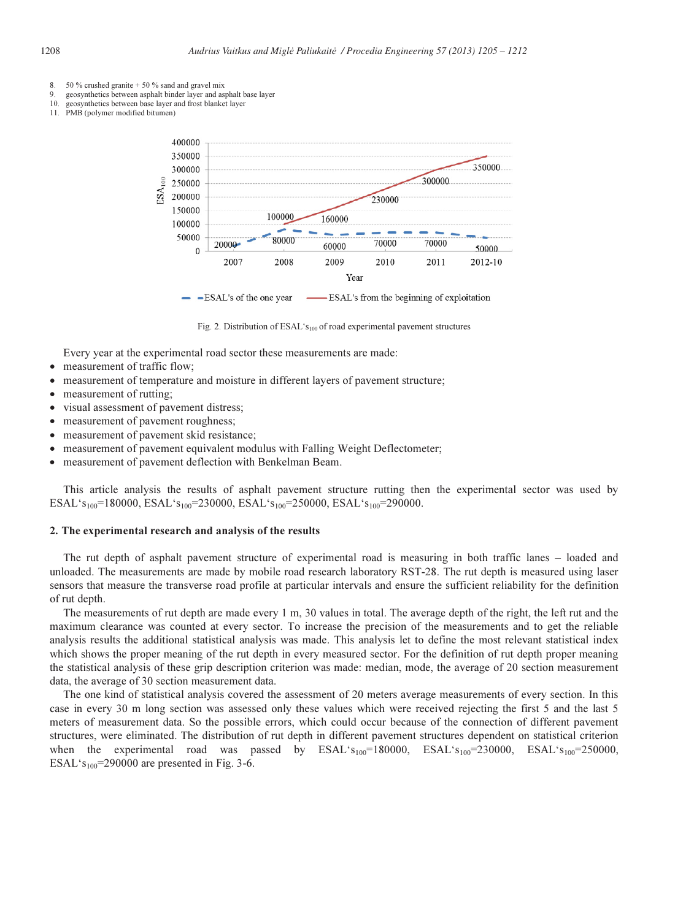- 8. 50 % crushed granite  $+$  50 % sand and gravel mix
- geosynthetics between asphalt binder layer and asphalt base layer
- 10. geosynthetics between base layer and frost blanket layer 11. PMB (polymer modified bitumen)



Fig. 2. Distribution of ESAL's<sub>100</sub> of road experimental pavement structures

Every year at the experimental road sector these measurements are made:

- measurement of traffic flow;
- measurement of temperature and moisture in different layers of pavement structure;
- measurement of rutting;
- visual assessment of pavement distress;
- measurement of pavement roughness;
- measurement of pavement skid resistance;
- measurement of pavement equivalent modulus with Falling Weight Deflectometer;
- measurement of pavement deflection with Benkelman Beam.

This article analysis the results of asphalt pavement structure rutting then the experimental sector was used by ESAL's<sub>100</sub>=180000, ESAL's<sub>100</sub>=230000, ESAL's<sub>100</sub>=250000, ESAL's<sub>100</sub>=290000.

#### 2. The experimental research and analysis of the results

The rut depth of asphalt pavement structure of experimental road is measuring in both traffic lanes – loaded and unloaded. The measurements are made by mobile road research laboratory RST-28. The rut depth is measured using laser sensors that measure the transverse road profile at particular intervals and ensure the sufficient reliability for the definition of rut depth.

The measurements of rut depth are made every 1 m, 30 values in total. The average depth of the right, the left rut and the maximum clearance was counted at every sector. To increase the precision of the measurements and to get the reliable analysis results the additional statistical analysis was made. This analysis let to define the most relevant statistical index which shows the proper meaning of the rut depth in every measured sector. For the definition of rut depth proper meaning the statistical analysis of these grip description criterion was made: median, mode, the average of 20 section measurement data, the average of 30 section measurement data.

The one kind of statistical analysis covered the assessment of 20 meters average measurements of every section. In this case in every 30 m long section was assessed only these values which were received rejecting the first 5 and the last 5 meters of measurement data. So the possible errors, which could occur because of the connection of different pavement structures, were eliminated. The distribution of rut depth in different pavement structures dependent on statistical criterion when the experimental road was passed by  $ESAL's<sub>100</sub>=180000$ ,  $ESAL's<sub>100</sub>=230000$ ,  $ESAL's<sub>100</sub>=250000$ , ESAL's<sub>100</sub>=290000 are presented in Fig. 3-6.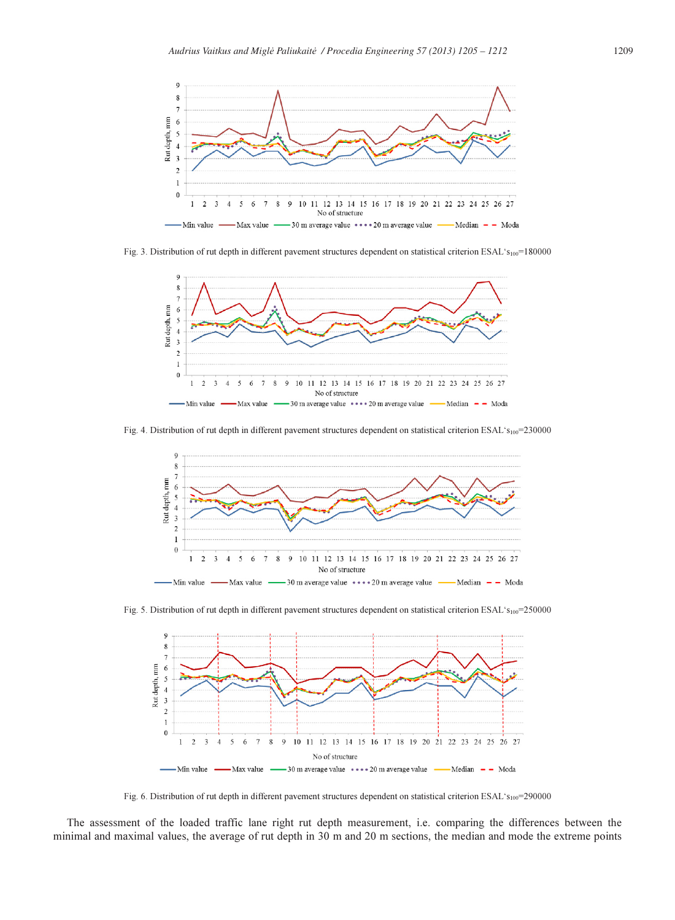

Fig. 3. Distribution of rut depth in different pavement structures dependent on statistical criterion ESAL's<sub>100</sub>=180000



Fig. 4. Distribution of rut depth in different pavement structures dependent on statistical criterion ESAL's<sub>100</sub>=230000



Fig. 5. Distribution of rut depth in different pavement structures dependent on statistical criterion ESAL's<sub>100</sub>=250000



Fig. 6. Distribution of rut depth in different pavement structures dependent on statistical criterion ESAL's<sub>100</sub>=290000

The assessment of the loaded traffic lane right rut depth measurement, i.e. comparing the differences between the minimal and maximal values, the average of rut depth in 30 m and 20 m sections, the median and mode the extreme points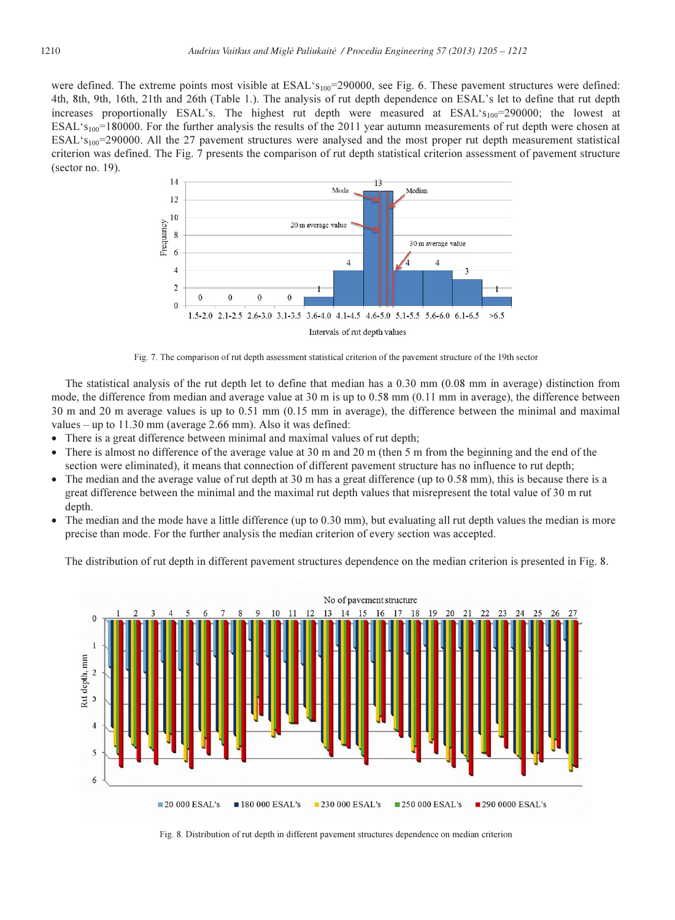were defined. The extreme points most visible at  $ESAL's<sub>100</sub>=290000$ , see Fig. 6. These pavement structures were defined: 4th, 8th, 9th, 16th, 21th and 26th (Table 1.). The analysis of rut depth dependence on ESAL's let to define that rut depth increases proportionally ESAL's. The highest rut depth were measured at  $ESAL's<sub>100</sub>=290000$ ; the lowest at  $ESAL<sup>2</sup>S<sub>100</sub>=180000$ . For the further analysis the results of the 2011 year autumn measurements of rut depth were chosen at  $ESAL's<sub>100</sub>=290000$ . All the 27 pavement structures were analysed and the most proper rut depth measurement statistical criterion was defined. The Fig. 7 presents the comparison of rut depth statistical criterion assessment of pavement structure (sector no. 19).



Fig. 7. The comparison of rut depth assessment statistical criterion of the pavement structure of the 19th sector

The statistical analysis of the rut depth let to define that median has a 0.30 mm (0.08 mm in average) distinction from mode, the difference from median and average value at 30 m is up to 0.58 mm (0.11 mm in average), the difference between 30 m and 20 m average values is up to 0.51 mm (0.15 mm in average), the difference between the minimal and maximal values – up to 11.30 mm (average 2.66 mm). Also it was defined:

- There is a great difference between minimal and maximal values of rut depth;
- There is almost no difference of the average value at 30 m and 20 m (then 5 m from the beginning and the end of the section were eliminated), it means that connection of different pavement structure has no influence to rut depth;
- The median and the average value of rut depth at 30 m has a great difference (up to 0.58 mm), this is because there is a great difference between the minimal and the maximal rut depth values that misrepresent the total value of 30 m rut depth.
- The median and the mode have a little difference (up to 0.30 mm), but evaluating all rut depth values the median is more precise than mode. For the further analysis the median criterion of every section was accepted.

The distribution of rut depth in different pavement structures dependence on the median criterion is presented in Fig. 8.



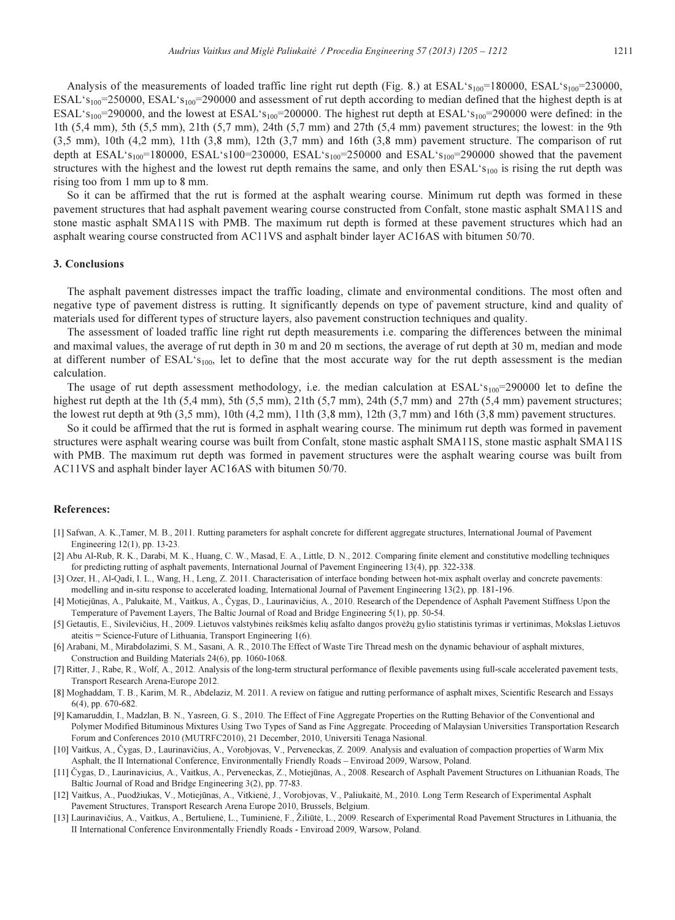Analysis of the measurements of loaded traffic line right rut depth (Fig. 8.) at ESAL's<sub>100</sub>=180000, ESAL's<sub>100</sub>=230000, ESAL's<sub>100</sub>=250000, ESAL's<sub>100</sub>=290000 and assessment of rut depth according to median defined that the highest depth is at ESAL's<sub>100</sub>=290000, and the lowest at ESAL's<sub>100</sub>=200000. The highest rut depth at ESAL's<sub>100</sub>=290000 were defined: in the 1th (5,4 mm), 5th (5,5 mm), 21th (5,7 mm), 24th (5,7 mm) and 27th (5,4 mm) pavement structures; the lowest: in the 9th (3,5 mm), 10th (4,2 mm), 11th (3,8 mm), 12th (3,7 mm) and 16th (3,8 mm) pavement structure. The comparison of rut depth at ESAL's<sub>100</sub>=180000, ESAL's100=230000, ESAL's<sub>100</sub>=250000 and ESAL's<sub>100</sub>=290000 showed that the pavement structures with the highest and the lowest rut depth remains the same, and only then  $ESAL's<sub>100</sub>$  is rising the rut depth was rising too from 1 mm up to 8 mm.

So it can be affirmed that the rut is formed at the asphalt wearing course. Minimum rut depth was formed in these pavement structures that had asphalt pavement wearing course constructed from Confalt, stone mastic asphalt SMA11S and stone mastic asphalt SMA11S with PMB. The maximum rut depth is formed at these pavement structures which had an asphalt wearing course constructed from AC11VS and asphalt binder layer AC16AS with bitumen 50/70.

#### 3. Conclusions

The asphalt pavement distresses impact the traffic loading, climate and environmental conditions. The most often and negative type of pavement distress is rutting. It significantly depends on type of pavement structure, kind and quality of materials used for different types of structure layers, also pavement construction techniques and quality.

The assessment of loaded traffic line right rut depth measurements i.e. comparing the differences between the minimal and maximal values, the average of rut depth in 30 m and 20 m sections, the average of rut depth at 30 m, median and mode at different number of  $ESAL's<sub>100</sub>$ , let to define that the most accurate way for the rut depth assessment is the median calculation.

The usage of rut depth assessment methodology, i.e. the median calculation at  $ESAL's<sub>100</sub>=290000$  let to define the highest rut depth at the 1th  $(5,4 \text{ mm})$ ,  $5\text{ th}$   $(5,5 \text{ mm})$ ,  $21\text{ th}$   $(5,7 \text{ mm})$ ,  $24\text{ th}$   $(5,7 \text{ mm})$  and  $27\text{ th}$   $(5,4 \text{ mm})$  pavement structures; the lowest rut depth at 9th  $(3,5 \text{ mm})$ , 10th  $(4,2 \text{ mm})$ , 11th  $(3,8 \text{ mm})$ , 12th  $(3,7 \text{ mm})$  and 16th  $(3,8 \text{ mm})$  pavement structures.

So it could be affirmed that the rut is formed in asphalt wearing course. The minimum rut depth was formed in pavement structures were asphalt wearing course was built from Confalt, stone mastic asphalt SMA11S, stone mastic asphalt SMA11S with PMB. The maximum rut depth was formed in pavement structures were the asphalt wearing course was built from AC11VS and asphalt binder layer AC16AS with bitumen 50/70.

### References:

- [1] Safwan, A. K.,Tamer, M. B., 2011. Rutting parameters for asphalt concrete for different aggregate structures, International Journal of Pavement Engineering 12(1), pp. 13-23.
- [2] Abu Al-Rub, R. K., Darabi, M. K., Huang, C. W., Masad, E. A., Little, D. N., 2012. Comparing finite element and constitutive modelling techniques for predicting rutting of asphalt pavements, International Journal of Pavement Engineering 13(4), pp. 322-338.
- [3] Ozer, H., Al-Qadi, I. L., Wang, H., Leng, Z. 2011. Characterisation of interface bonding between hot-mix asphalt overlay and concrete pavements: modelling and in-situ response to accelerated loading, International Journal of Pavement Engineering 13(2), pp. 181-196.
- [4] Motiejūnas, A., Palukaitė, M., Vaitkus, A., Čygas, D., Laurinavičius, A., 2010. Research of the Dependence of Asphalt Pavement Stiffness Upon the Temperature of Pavement Layers, The Baltic Journal of Road and Bridge Engineering 5(1), pp. 50-54.
- [5] Getautis, E., Sivilevičius, H., 2009. Lietuvos valstybinės reikšmės kelių asfalto dangos provėžų gylio statistinis tyrimas ir vertinimas, Mokslas Lietuvos ateitis = Science-Future of Lithuania, Transport Engineering 1(6).
- [6] Arabani, M., Mirabdolazimi, S. M., Sasani, A. R., 2010.The Effect of Waste Tire Thread mesh on the dynamic behaviour of asphalt mixtures, Construction and Building Materials 24(6), pp. 1060-1068.
- [7] Ritter, J., Rabe, R., Wolf, A., 2012. Analysis of the long-term structural performance of flexible pavements using full-scale accelerated pavement tests, Transport Research Arena-Europe 2012.
- [8] Moghaddam, T. B., Karim, M. R., Abdelaziz, M. 2011. A review on fatigue and rutting performance of asphalt mixes, Scientific Research and Essays 6(4), pp. 670-682.
- [9] Kamaruddin, I., Madzlan, B. N., Yasreen, G. S., 2010. The Effect of Fine Aggregate Properties on the Rutting Behavior of the Conventional and Polymer Modified Bituminous Mixtures Using Two Types of Sand as Fine Aggregate. Proceeding of Malaysian Universities Transportation Research Forum and Conferences 2010 (MUTRFC2010), 21 December, 2010, Universiti Tenaga Nasional.
- [10] Vaitkus, A., Čygas, D., Laurinavičius, A., Vorobjovas, V., Perveneckas, Z. 2009. Analysis and evaluation of compaction properties of Warm Mix Asphalt, the II International Conference, Environmentally Friendly Roads – Enviroad 2009, Warsow, Poland.
- [11] Čygas, D., Laurinavicius, A., Vaitkus, A., Perveneckas, Z., Motiejūnas, A., 2008. Research of Asphalt Pavement Structures on Lithuanian Roads, The Baltic Journal of Road and Bridge Engineering 3(2), pp. 77-83.
- [12] Vaitkus, A., Puodžiukas, V., Motiejūnas, A., Vitkienė, J., Vorobjovas, V., Paliukaitė, M., 2010. Long Term Research of Experimental Asphalt Pavement Structures, Transport Research Arena Europe 2010, Brussels, Belgium.
- [13] Laurinavičius, A., Vaitkus, A., Bertulienė, L., Tuminienė, F., Žiliūtė, L., 2009. Research of Experimental Road Pavement Structures in Lithuania, the II International Conference Environmentally Friendly Roads - Enviroad 2009, Warsow, Poland.